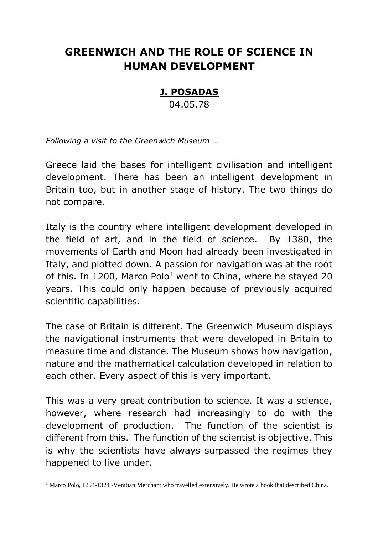## **GREENWICH AND THE ROLE OF SCIENCE IN HUMAN DEVELOPMENT**

## **J. POSADAS**

04.05.78

*Following a visit to the Greenwich Museum …*

Greece laid the bases for intelligent civilisation and intelligent development. There has been an intelligent development in Britain too, but in another stage of history. The two things do not compare.

Italy is the country where intelligent development developed in the field of art, and in the field of science. By 1380, the movements of Earth and Moon had already been investigated in Italy, and plotted down. A passion for navigation was at the root of this. In 1200, Marco Polo<sup>1</sup> went to China, where he stayed 20 years. This could only happen because of previously acquired scientific capabilities.

The case of Britain is different. The Greenwich Museum displays the navigational instruments that were developed in Britain to measure time and distance. The Museum shows how navigation, nature and the mathematical calculation developed in relation to each other. Every aspect of this is very important.

This was a very great contribution to science. It was a science, however, where research had increasingly to do with the development of production. The function of the scientist is different from this. The function of the scientist is objective. This is why the scientists have always surpassed the regimes they happened to live under.

<sup>-</sup><sup>1</sup> Marco Polo, 1254-1324 -Venitian Merchant who travelled extensively. He wrote a book that described China.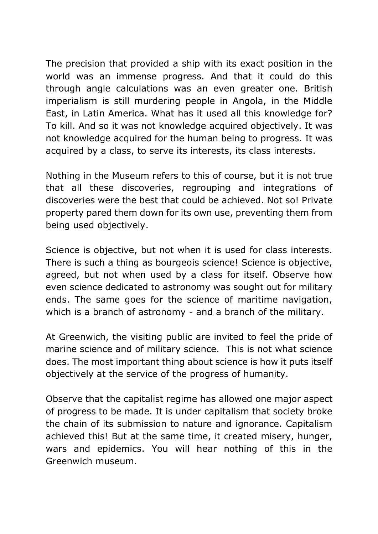The precision that provided a ship with its exact position in the world was an immense progress. And that it could do this through angle calculations was an even greater one. British imperialism is still murdering people in Angola, in the Middle East, in Latin America. What has it used all this knowledge for? To kill. And so it was not knowledge acquired objectively. It was not knowledge acquired for the human being to progress. It was acquired by a class, to serve its interests, its class interests.

Nothing in the Museum refers to this of course, but it is not true that all these discoveries, regrouping and integrations of discoveries were the best that could be achieved. Not so! Private property pared them down for its own use, preventing them from being used objectively.

Science is objective, but not when it is used for class interests. There is such a thing as bourgeois science! Science is objective, agreed, but not when used by a class for itself. Observe how even science dedicated to astronomy was sought out for military ends. The same goes for the science of maritime navigation, which is a branch of astronomy - and a branch of the military.

At Greenwich, the visiting public are invited to feel the pride of marine science and of military science. This is not what science does. The most important thing about science is how it puts itself objectively at the service of the progress of humanity.

Observe that the capitalist regime has allowed one major aspect of progress to be made. It is under capitalism that society broke the chain of its submission to nature and ignorance. Capitalism achieved this! But at the same time, it created misery, hunger, wars and epidemics. You will hear nothing of this in the Greenwich museum.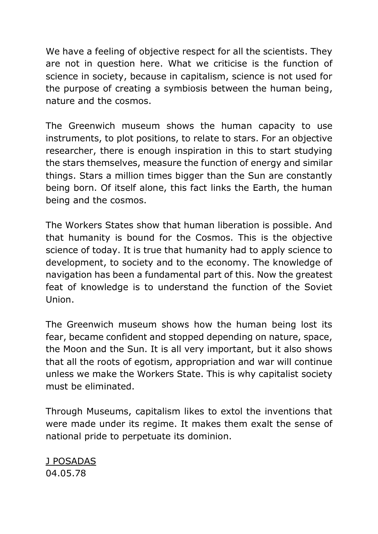We have a feeling of objective respect for all the scientists. They are not in question here. What we criticise is the function of science in society, because in capitalism, science is not used for the purpose of creating a symbiosis between the human being, nature and the cosmos.

The Greenwich museum shows the human capacity to use instruments, to plot positions, to relate to stars. For an objective researcher, there is enough inspiration in this to start studying the stars themselves, measure the function of energy and similar things. Stars a million times bigger than the Sun are constantly being born. Of itself alone, this fact links the Earth, the human being and the cosmos.

The Workers States show that human liberation is possible. And that humanity is bound for the Cosmos. This is the objective science of today. It is true that humanity had to apply science to development, to society and to the economy. The knowledge of navigation has been a fundamental part of this. Now the greatest feat of knowledge is to understand the function of the Soviet Union.

The Greenwich museum shows how the human being lost its fear, became confident and stopped depending on nature, space, the Moon and the Sun. It is all very important, but it also shows that all the roots of egotism, appropriation and war will continue unless we make the Workers State. This is why capitalist society must be eliminated.

Through Museums, capitalism likes to extol the inventions that were made under its regime. It makes them exalt the sense of national pride to perpetuate its dominion.

J POSADAS 04.05.78